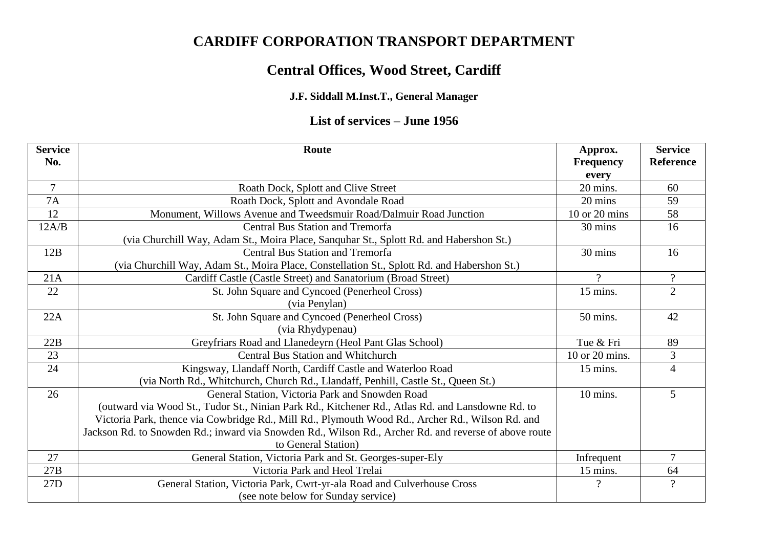# **CARDIFF CORPORATION TRANSPORT DEPARTMENT**

# **Central Offices, Wood Street, Cardiff**

#### **J.F. Siddall M.Inst.T., General Manager**

### **List of services – June 1956**

| <b>Service</b><br>No. | Route                                                                                                 | Approx.<br><b>Frequency</b> | <b>Service</b><br>Reference |
|-----------------------|-------------------------------------------------------------------------------------------------------|-----------------------------|-----------------------------|
|                       |                                                                                                       | every                       |                             |
| $\tau$                | Roath Dock, Splott and Clive Street                                                                   | 20 mins.                    | 60                          |
| <b>7A</b>             | Roath Dock, Splott and Avondale Road                                                                  | 20 mins                     | 59                          |
| 12                    | Monument, Willows Avenue and Tweedsmuir Road/Dalmuir Road Junction                                    | $10$ or $20$ mins           | 58                          |
| 12A/B                 | <b>Central Bus Station and Tremorfa</b>                                                               | 30 mins                     | 16                          |
|                       | (via Churchill Way, Adam St., Moira Place, Sanquhar St., Splott Rd. and Habershon St.)                |                             |                             |
| 12B                   | <b>Central Bus Station and Tremorfa</b>                                                               | 30 mins                     | 16                          |
|                       | (via Churchill Way, Adam St., Moira Place, Constellation St., Splott Rd. and Habershon St.)           |                             |                             |
| 21A                   | Cardiff Castle (Castle Street) and Sanatorium (Broad Street)                                          | $\gamma$                    | $\overline{\mathcal{L}}$    |
| 22                    | St. John Square and Cyncoed (Penerheol Cross)                                                         | 15 mins.                    | $\overline{2}$              |
|                       | (via Penylan)                                                                                         |                             |                             |
| 22A                   | St. John Square and Cyncoed (Penerheol Cross)                                                         | 50 mins.                    | 42                          |
|                       | (via Rhydypenau)                                                                                      |                             |                             |
| 22B                   | Greyfriars Road and Llanedeyrn (Heol Pant Glas School)                                                | Tue & Fri                   | 89                          |
| 23                    | <b>Central Bus Station and Whitchurch</b>                                                             | 10 or 20 mins.              | 3                           |
| 24                    | Kingsway, Llandaff North, Cardiff Castle and Waterloo Road                                            | 15 mins.                    | 4                           |
|                       | (via North Rd., Whitchurch, Church Rd., Llandaff, Penhill, Castle St., Queen St.)                     |                             |                             |
| 26                    | General Station, Victoria Park and Snowden Road                                                       | 10 mins.                    | 5                           |
|                       | (outward via Wood St., Tudor St., Ninian Park Rd., Kitchener Rd., Atlas Rd. and Lansdowne Rd. to      |                             |                             |
|                       | Victoria Park, thence via Cowbridge Rd., Mill Rd., Plymouth Wood Rd., Archer Rd., Wilson Rd. and      |                             |                             |
|                       | Jackson Rd. to Snowden Rd.; inward via Snowden Rd., Wilson Rd., Archer Rd. and reverse of above route |                             |                             |
|                       | to General Station)                                                                                   |                             |                             |
| 27                    | General Station, Victoria Park and St. Georges-super-Ely                                              | Infrequent                  | 7                           |
| 27B                   | Victoria Park and Heol Trelai                                                                         | 15 mins.                    | 64                          |
| 27D                   | General Station, Victoria Park, Cwrt-yr-ala Road and Culverhouse Cross                                | $\gamma$                    | $\gamma$                    |
|                       | (see note below for Sunday service)                                                                   |                             |                             |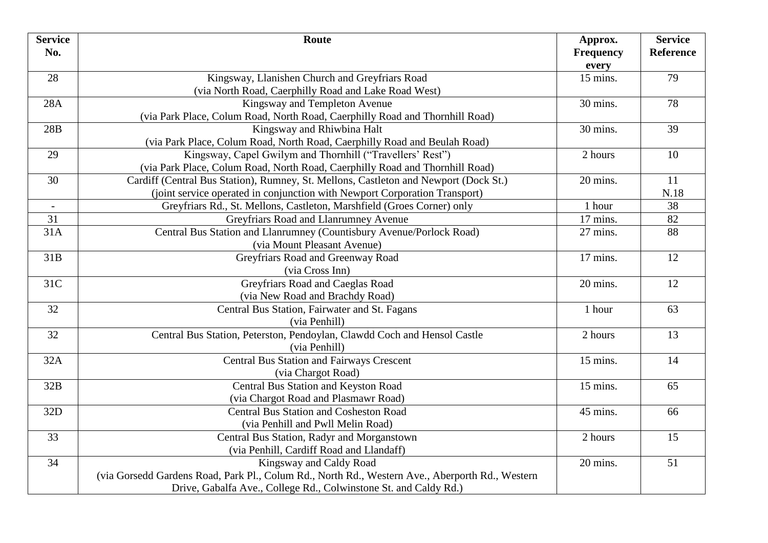| <b>Service</b><br>No. | Route                                                                                           | Approx.<br><b>Frequency</b> | <b>Service</b><br><b>Reference</b> |
|-----------------------|-------------------------------------------------------------------------------------------------|-----------------------------|------------------------------------|
|                       |                                                                                                 | every                       | 79                                 |
| 28                    | Kingsway, Llanishen Church and Greyfriars Road                                                  | 15 mins.                    |                                    |
|                       | (via North Road, Caerphilly Road and Lake Road West)                                            |                             | 78                                 |
| 28A                   | Kingsway and Templeton Avenue                                                                   | 30 mins.                    |                                    |
|                       | (via Park Place, Colum Road, North Road, Caerphilly Road and Thornhill Road)                    |                             |                                    |
| 28B                   | Kingsway and Rhiwbina Halt                                                                      | 30 mins.                    | 39                                 |
|                       | (via Park Place, Colum Road, North Road, Caerphilly Road and Beulah Road)                       |                             |                                    |
| 29                    | Kingsway, Capel Gwilym and Thornhill ("Travellers' Rest")                                       | 2 hours                     | 10                                 |
|                       | (via Park Place, Colum Road, North Road, Caerphilly Road and Thornhill Road)                    |                             |                                    |
| 30                    | Cardiff (Central Bus Station), Rumney, St. Mellons, Castleton and Newport (Dock St.)            | 20 mins.                    | 11                                 |
|                       | (joint service operated in conjunction with Newport Corporation Transport)                      |                             | N.18                               |
| $\blacksquare$        | Greyfriars Rd., St. Mellons, Castleton, Marshfield (Groes Corner) only                          | 1 hour                      | 38                                 |
| 31                    | Greyfriars Road and Llanrumney Avenue                                                           | 17 mins.                    | 82                                 |
| 31A                   | Central Bus Station and Llanrumney (Countisbury Avenue/Porlock Road)                            | 27 mins.                    | 88                                 |
|                       | (via Mount Pleasant Avenue)                                                                     |                             |                                    |
| 31B                   | Greyfriars Road and Greenway Road                                                               | 17 mins.                    | 12                                 |
|                       | (via Cross Inn)                                                                                 |                             |                                    |
| 31C                   | Greyfriars Road and Caeglas Road                                                                | 20 mins.                    | 12                                 |
|                       | (via New Road and Brachdy Road)                                                                 |                             |                                    |
| 32                    | Central Bus Station, Fairwater and St. Fagans                                                   | 1 hour                      | 63                                 |
|                       | (via Penhill)                                                                                   |                             |                                    |
| 32                    | Central Bus Station, Peterston, Pendoylan, Clawdd Coch and Hensol Castle                        | 2 hours                     | 13                                 |
|                       | (via Penhill)                                                                                   |                             |                                    |
| 32A                   | Central Bus Station and Fairways Crescent                                                       | 15 mins.                    | 14                                 |
|                       | (via Chargot Road)                                                                              |                             |                                    |
| 32B                   | Central Bus Station and Keyston Road                                                            | 15 mins.                    | 65                                 |
|                       | (via Chargot Road and Plasmawr Road)                                                            |                             |                                    |
| 32D                   | <b>Central Bus Station and Cosheston Road</b>                                                   | 45 mins.                    | 66                                 |
|                       | (via Penhill and Pwll Melin Road)                                                               |                             |                                    |
| 33                    | Central Bus Station, Radyr and Morganstown                                                      | 2 hours                     | 15                                 |
|                       | (via Penhill, Cardiff Road and Llandaff)                                                        |                             |                                    |
| 34                    | Kingsway and Caldy Road                                                                         | 20 mins.                    | 51                                 |
|                       | (via Gorsedd Gardens Road, Park Pl., Colum Rd., North Rd., Western Ave., Aberporth Rd., Western |                             |                                    |
|                       | Drive, Gabalfa Ave., College Rd., Colwinstone St. and Caldy Rd.)                                |                             |                                    |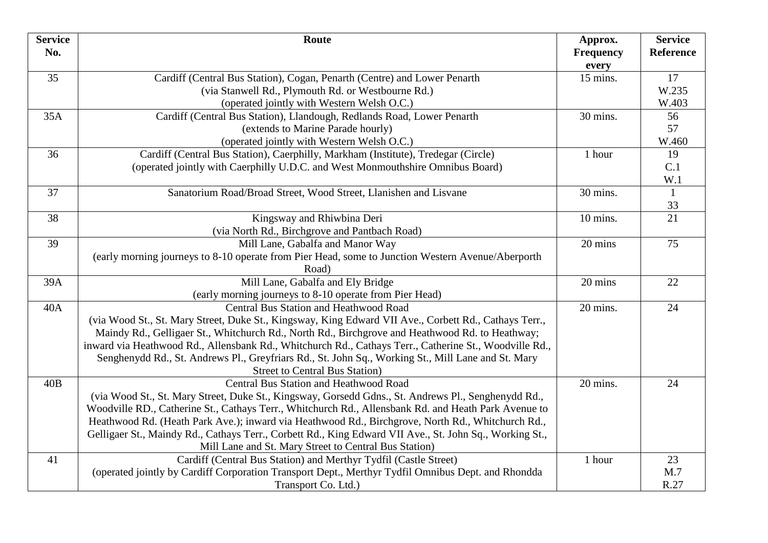| <b>Service</b> | Route                                                                                                   | Approx.          | <b>Service</b>   |
|----------------|---------------------------------------------------------------------------------------------------------|------------------|------------------|
| No.            |                                                                                                         | <b>Frequency</b> | <b>Reference</b> |
|                |                                                                                                         | every            |                  |
| 35             | Cardiff (Central Bus Station), Cogan, Penarth (Centre) and Lower Penarth                                | 15 mins.         | 17               |
|                | (via Stanwell Rd., Plymouth Rd. or Westbourne Rd.)                                                      |                  | W.235            |
|                | (operated jointly with Western Welsh O.C.)                                                              |                  | W.403            |
| 35A            | Cardiff (Central Bus Station), Llandough, Redlands Road, Lower Penarth                                  | 30 mins.         | 56               |
|                | (extends to Marine Parade hourly)                                                                       |                  | 57               |
|                | (operated jointly with Western Welsh O.C.)                                                              |                  | W.460            |
| 36             | Cardiff (Central Bus Station), Caerphilly, Markham (Institute), Tredegar (Circle)                       | 1 hour           | 19               |
|                | (operated jointly with Caerphilly U.D.C. and West Monmouthshire Omnibus Board)                          |                  | C.1              |
|                |                                                                                                         |                  | W.1              |
| 37             | Sanatorium Road/Broad Street, Wood Street, Llanishen and Lisvane                                        | 30 mins.         | $\mathbf{1}$     |
|                |                                                                                                         |                  | 33               |
| 38             | Kingsway and Rhiwbina Deri                                                                              | 10 mins.         | $\overline{21}$  |
|                | (via North Rd., Birchgrove and Pantbach Road)                                                           |                  |                  |
| 39             | Mill Lane, Gabalfa and Manor Way                                                                        | 20 mins          | 75               |
|                | (early morning journeys to 8-10 operate from Pier Head, some to Junction Western Avenue/Aberporth       |                  |                  |
|                | Road)                                                                                                   |                  |                  |
| 39A            | Mill Lane, Gabalfa and Ely Bridge                                                                       | 20 mins          | 22               |
|                | (early morning journeys to 8-10 operate from Pier Head)                                                 |                  |                  |
| 40A            | Central Bus Station and Heathwood Road                                                                  | 20 mins.         | 24               |
|                | (via Wood St., St. Mary Street, Duke St., Kingsway, King Edward VII Ave., Corbett Rd., Cathays Terr.,   |                  |                  |
|                | Maindy Rd., Gelligaer St., Whitchurch Rd., North Rd., Birchgrove and Heathwood Rd. to Heathway;         |                  |                  |
|                | inward via Heathwood Rd., Allensbank Rd., Whitchurch Rd., Cathays Terr., Catherine St., Woodville Rd.,  |                  |                  |
|                | Senghenydd Rd., St. Andrews Pl., Greyfriars Rd., St. John Sq., Working St., Mill Lane and St. Mary      |                  |                  |
|                | <b>Street to Central Bus Station)</b>                                                                   |                  |                  |
| 40B            | Central Bus Station and Heathwood Road                                                                  | 20 mins.         | 24               |
|                | (via Wood St., St. Mary Street, Duke St., Kingsway, Gorsedd Gdns., St. Andrews Pl., Senghenydd Rd.,     |                  |                  |
|                | Woodville RD., Catherine St., Cathays Terr., Whitchurch Rd., Allensbank Rd. and Heath Park Avenue to    |                  |                  |
|                | Heathwood Rd. (Heath Park Ave.); inward via Heathwood Rd., Birchgrove, North Rd., Whitchurch Rd.,       |                  |                  |
|                | Gelligaer St., Maindy Rd., Cathays Terr., Corbett Rd., King Edward VII Ave., St. John Sq., Working St., |                  |                  |
|                | Mill Lane and St. Mary Street to Central Bus Station)                                                   |                  |                  |
| 41             | Cardiff (Central Bus Station) and Merthyr Tydfil (Castle Street)                                        | 1 hour           | 23               |
|                | (operated jointly by Cardiff Corporation Transport Dept., Merthyr Tydfil Omnibus Dept. and Rhondda      |                  | M.7              |
|                | Transport Co. Ltd.)                                                                                     |                  | R.27             |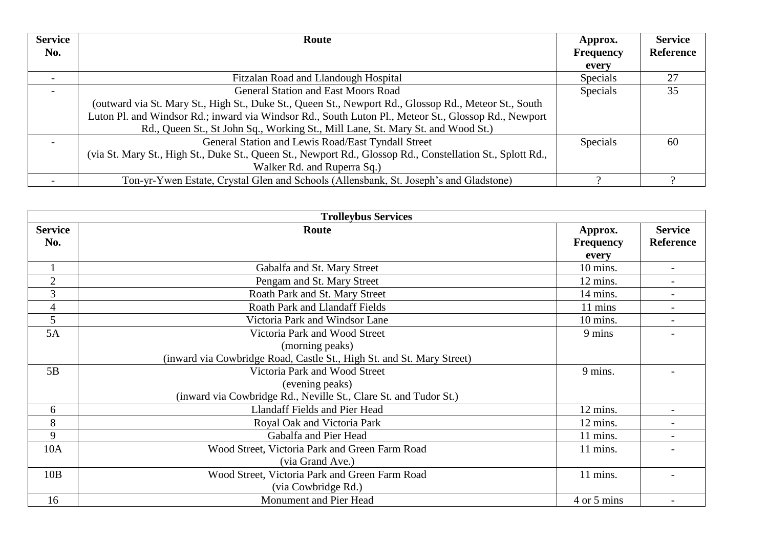| <b>Service</b> | Route                                                                                                      | Approx.          | <b>Service</b>   |
|----------------|------------------------------------------------------------------------------------------------------------|------------------|------------------|
| No.            |                                                                                                            | <b>Frequency</b> | <b>Reference</b> |
|                |                                                                                                            | every            |                  |
|                | Fitzalan Road and Llandough Hospital                                                                       | Specials         | 27               |
|                | <b>General Station and East Moors Road</b>                                                                 | Specials         | 35               |
|                | (outward via St. Mary St., High St., Duke St., Queen St., Newport Rd., Glossop Rd., Meteor St., South      |                  |                  |
|                | Luton Pl. and Windsor Rd.; inward via Windsor Rd., South Luton Pl., Meteor St., Glossop Rd., Newport       |                  |                  |
|                | Rd., Queen St., St John Sq., Working St., Mill Lane, St. Mary St. and Wood St.)                            |                  |                  |
|                | General Station and Lewis Road/East Tyndall Street                                                         | Specials         | 60               |
|                | (via St. Mary St., High St., Duke St., Queen St., Newport Rd., Glossop Rd., Constellation St., Splott Rd., |                  |                  |
|                | Walker Rd. and Ruperra Sq.)                                                                                |                  |                  |
|                | Ton-yr-Ywen Estate, Crystal Glen and Schools (Allensbank, St. Joseph's and Gladstone)                      |                  |                  |

|                | <b>Trolleybus Services</b>                                            |                  |                          |  |  |  |
|----------------|-----------------------------------------------------------------------|------------------|--------------------------|--|--|--|
| <b>Service</b> | Route                                                                 | Approx.          | <b>Service</b>           |  |  |  |
| No.            |                                                                       | <b>Frequency</b> | <b>Reference</b>         |  |  |  |
|                |                                                                       | every            |                          |  |  |  |
|                | Gabalfa and St. Mary Street                                           | 10 mins.         |                          |  |  |  |
| $\overline{2}$ | Pengam and St. Mary Street                                            | 12 mins.         | $\overline{\phantom{a}}$ |  |  |  |
| 3              | Roath Park and St. Mary Street                                        | 14 mins.         |                          |  |  |  |
| $\overline{4}$ | <b>Roath Park and Llandaff Fields</b>                                 | 11 mins          |                          |  |  |  |
| 5              | Victoria Park and Windsor Lane                                        | 10 mins.         |                          |  |  |  |
| 5A             | Victoria Park and Wood Street                                         | 9 mins           |                          |  |  |  |
|                | (morning peaks)                                                       |                  |                          |  |  |  |
|                | (inward via Cowbridge Road, Castle St., High St. and St. Mary Street) |                  |                          |  |  |  |
| 5B             | Victoria Park and Wood Street                                         | 9 mins.          |                          |  |  |  |
|                | (evening peaks)                                                       |                  |                          |  |  |  |
|                | (inward via Cowbridge Rd., Neville St., Clare St. and Tudor St.)      |                  |                          |  |  |  |
| 6              | <b>Llandaff Fields and Pier Head</b>                                  | 12 mins.         | $\overline{\phantom{0}}$ |  |  |  |
| 8              | Royal Oak and Victoria Park                                           | 12 mins.         |                          |  |  |  |
| 9              | Gabalfa and Pier Head                                                 | 11 mins.         |                          |  |  |  |
| 10A            | Wood Street, Victoria Park and Green Farm Road                        | 11 mins.         |                          |  |  |  |
|                | (via Grand Ave.)                                                      |                  |                          |  |  |  |
| 10B            | Wood Street, Victoria Park and Green Farm Road                        | 11 mins.         |                          |  |  |  |
|                | (via Cowbridge Rd.)                                                   |                  |                          |  |  |  |
| 16             | Monument and Pier Head                                                | 4 or 5 mins      |                          |  |  |  |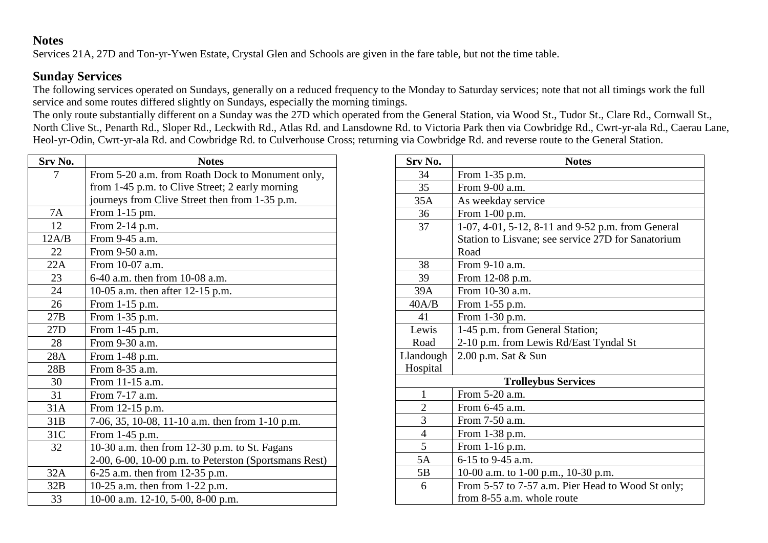#### **Notes**

Services 21A, 27D and Ton-yr-Ywen Estate, Crystal Glen and Schools are given in the fare table, but not the time table.

### **Sunday Services**

The following services operated on Sundays, generally on a reduced frequency to the Monday to Saturday services; note that not all timings work the full service and some routes differed slightly on Sundays, especially the morning timings.

The only route substantially different on a Sunday was the 27D which operated from the General Station, via Wood St., Tudor St., Clare Rd., Cornwall St., North Clive St., Penarth Rd., Sloper Rd., Leckwith Rd., Atlas Rd. and Lansdowne Rd. to Victoria Park then via Cowbridge Rd., Cwrt-yr-ala Rd., Caerau Lane, Heol-yr-Odin, Cwrt-yr-ala Rd. and Cowbridge Rd. to Culverhouse Cross; returning via Cowbridge Rd. and reverse route to the General Station.

| Srv No.         | <b>Notes</b>                                          |
|-----------------|-------------------------------------------------------|
| 7               | From 5-20 a.m. from Roath Dock to Monument only,      |
|                 | from 1-45 p.m. to Clive Street; 2 early morning       |
|                 | journeys from Clive Street then from 1-35 p.m.        |
| 7A              | From 1-15 pm.                                         |
| 12              | From 2-14 p.m.                                        |
| 12A/B           | From 9-45 a.m.                                        |
| 22              | From 9-50 a.m.                                        |
| 22A             | From 10-07 a.m.                                       |
| 23              | 6-40 a.m. then from 10-08 a.m.                        |
| 24              | 10-05 a.m. then after 12-15 p.m.                      |
| 26              | From 1-15 p.m.                                        |
| 27B             | From 1-35 p.m.                                        |
| 27D             | From 1-45 p.m.                                        |
| 28              | From 9-30 a.m.                                        |
| 28A             | From 1-48 p.m.                                        |
| 28B             | From 8-35 a.m.                                        |
| 30              | From 11-15 a.m.                                       |
| 31              | From 7-17 a.m.                                        |
| 31A             | From 12-15 p.m.                                       |
| 31B             | 7-06, 35, 10-08, 11-10 a.m. then from 1-10 p.m.       |
| 31 <sup>C</sup> | From 1-45 p.m.                                        |
| 32              | 10-30 a.m. then from 12-30 p.m. to St. Fagans         |
|                 | 2-00, 6-00, 10-00 p.m. to Peterston (Sportsmans Rest) |
| 32A             | 6-25 a.m. then from 12-35 p.m.                        |
| 32B             | 10-25 a.m. then from $1-22$ p.m.                      |
| 33              | 10-00 a.m. 12-10, 5-00, 8-00 p.m.                     |

| Srv No.        | <b>Notes</b>                                       |
|----------------|----------------------------------------------------|
| 34             | From 1-35 p.m.                                     |
| 35             | From 9-00 a.m.                                     |
| 35A            | As weekday service                                 |
| 36             | From 1-00 p.m.                                     |
| 37             | 1-07, 4-01, 5-12, 8-11 and 9-52 p.m. from General  |
|                | Station to Lisvane; see service 27D for Sanatorium |
|                | Road                                               |
| 38             | From 9-10 a.m.                                     |
| 39             | From 12-08 p.m.                                    |
| 39A            | From 10-30 a.m.                                    |
| 40A/B          | From 1-55 p.m.                                     |
| 41             | From 1-30 p.m.                                     |
| Lewis          | 1-45 p.m. from General Station;                    |
| Road           | 2-10 p.m. from Lewis Rd/East Tyndal St             |
| Llandough      | 2.00 p.m. Sat & Sun                                |
| Hospital       |                                                    |
|                | <b>Trolleybus Services</b>                         |
| 1              | From 5-20 a.m.                                     |
| $\overline{2}$ | From 6-45 a.m.                                     |
| 3              | From 7-50 a.m.                                     |
| $\overline{4}$ | From 1-38 p.m.                                     |
| 5              | From 1-16 p.m.                                     |
| 5A             | 6-15 to 9-45 a.m.                                  |
| 5B             | 10-00 a.m. to 1-00 p.m., 10-30 p.m.                |
| 6              | From 5-57 to 7-57 a.m. Pier Head to Wood St only;  |
|                | from 8-55 a.m. whole route                         |